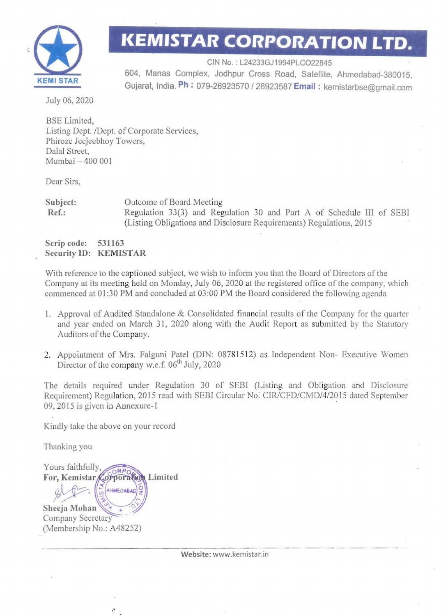

## **KEMISTAR CORPORATION LTD.**

CIN No.: L24233GJ1994PLCO22845 604. Manas Complex, Jodhpur Cross Road, Satellite, Ahmedabad-380015, **KEMI STAR** GUjarat, India. **Ph** : 079-26923570/26923587 **Email:** kemistarbse@gmail.com

July 06, 2020

BSE Limited, Listing Dept. *IDept.* of Corporate Services, Phiroze Jeejeebhoy Towers, Dalal Street, Mumbai - 400 001

Dear Sirs,

Subject: Outcome of Board Meeting Ref.: Regulation 33(3) and Regulation 30 and Part A of Schedule III of SEBI (Listing Obligations and Disclosure Requirements) Regulations, 2015

Scrip code: 531163 Security IO: KEMISTAR

With reference to the captioned subject, we wish to inform you that the Board of Directors of the Company at its meeting held on Monday, July 06, 2020 at the registered office of the company, which commenced at 01 :30 PM and concluded at 03:00 PM the Board considered the following agenda

- 1. Approval of Audited Standalone & Consolidated financial results of the Company for the quarter and year ended on March 31, 2020 along with the Audit Report as submitted by the Statutory Auditors of the Company.
- 2. Appointment of Mrs. Falguni Patel (DIN: 08781512) as Independent Non- Executive Women Director of the company w.e.f.  $06<sup>th</sup>$  July, 2020

The details required under Regulation 30 of SEBI (Listing and Obligation and Disclosure Requirement) Regulation, 2015 read with SEBI Circular No. *CIR/CFD/CMD/4/2015* dated September 09, 2015 is given in Annexure-l

Kindly take the above on your record

Thanking you

Yours faithfully, For, Kemistar Corporation Limited AHMEDABAD Sheeja Mohan Company Secretary (Membership No.: A48252)

r,

Website: www.kemistar.in